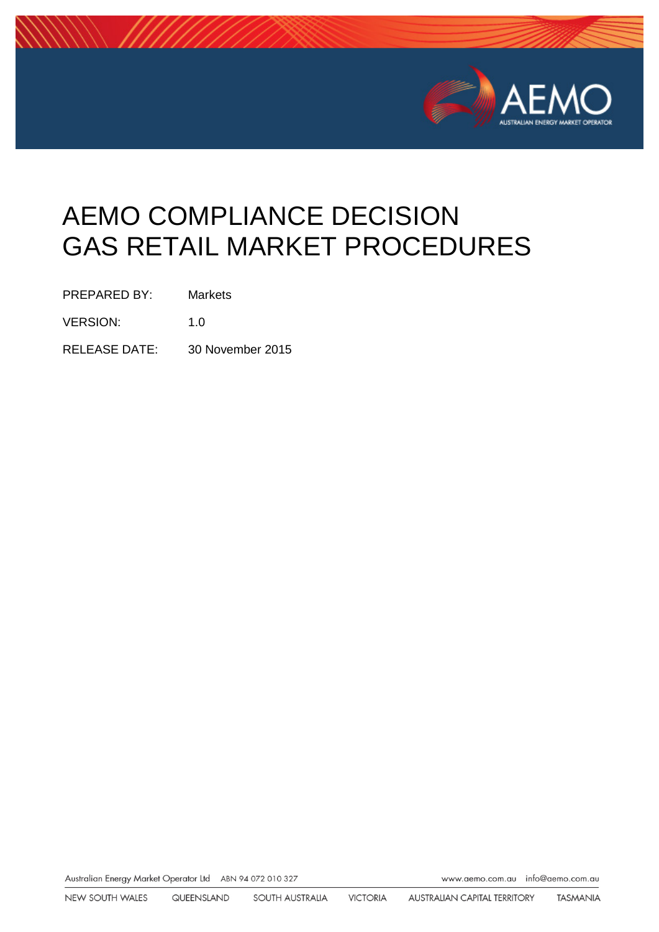

# AEMO COMPLIANCE DECISION GAS RETAIL MARKET PROCEDURES

PREPARED BY: Markets

VERSION: 1.0

RELEASE DATE: 30 November 2015

Australian Energy Market Operator Ltd ABN 94 072 010 327

www.aemo.com.au info@aemo.com.au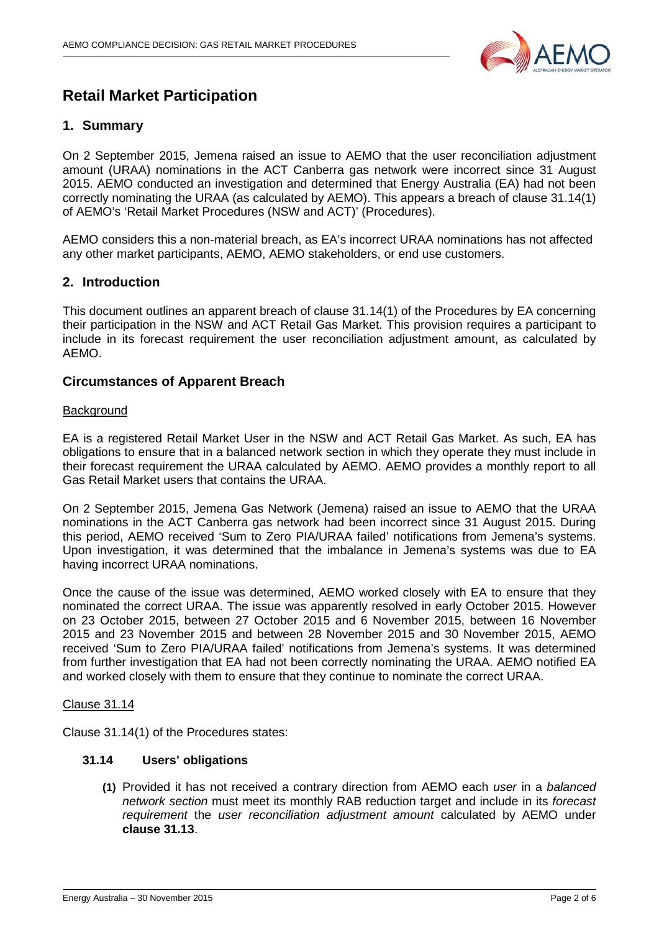

# **Retail Market Participation**

# **1. Summary**

On 2 September 2015, Jemena raised an issue to AEMO that the user reconciliation adjustment amount (URAA) nominations in the ACT Canberra gas network were incorrect since 31 August 2015. AEMO conducted an investigation and determined that Energy Australia (EA) had not been correctly nominating the URAA (as calculated by AEMO). This appears a breach of clause 31.14(1) of AEMO's 'Retail Market Procedures (NSW and ACT)' (Procedures).

AEMO considers this a non-material breach, as EA's incorrect URAA nominations has not affected any other market participants, AEMO, AEMO stakeholders, or end use customers.

## **2. Introduction**

This document outlines an apparent breach of clause 31.14(1) of the Procedures by EA concerning their participation in the NSW and ACT Retail Gas Market. This provision requires a participant to include in its forecast requirement the user reconciliation adjustment amount, as calculated by AEMO.

#### **Circumstances of Apparent Breach**

#### **Background**

EA is a registered Retail Market User in the NSW and ACT Retail Gas Market. As such, EA has obligations to ensure that in a balanced network section in which they operate they must include in their forecast requirement the URAA calculated by AEMO. AEMO provides a monthly report to all Gas Retail Market users that contains the URAA.

On 2 September 2015, Jemena Gas Network (Jemena) raised an issue to AEMO that the URAA nominations in the ACT Canberra gas network had been incorrect since 31 August 2015. During this period, AEMO received 'Sum to Zero PIA/URAA failed' notifications from Jemena's systems. Upon investigation, it was determined that the imbalance in Jemena's systems was due to EA having incorrect URAA nominations.

Once the cause of the issue was determined, AEMO worked closely with EA to ensure that they nominated the correct URAA. The issue was apparently resolved in early October 2015. However on 23 October 2015, between 27 October 2015 and 6 November 2015, between 16 November 2015 and 23 November 2015 and between 28 November 2015 and 30 November 2015, AEMO received 'Sum to Zero PIA/URAA failed' notifications from Jemena's systems. It was determined from further investigation that EA had not been correctly nominating the URAA. AEMO notified EA and worked closely with them to ensure that they continue to nominate the correct URAA.

#### Clause 31.14

Clause 31.14(1) of the Procedures states:

#### **31.14 Users' obligations**

**(1)** Provided it has not received a contrary direction from AEMO each *user* in a *balanced network section* must meet its monthly RAB reduction target and include in its *forecast requirement* the *user reconciliation adjustment amount* calculated by AEMO under **clause 31.13**.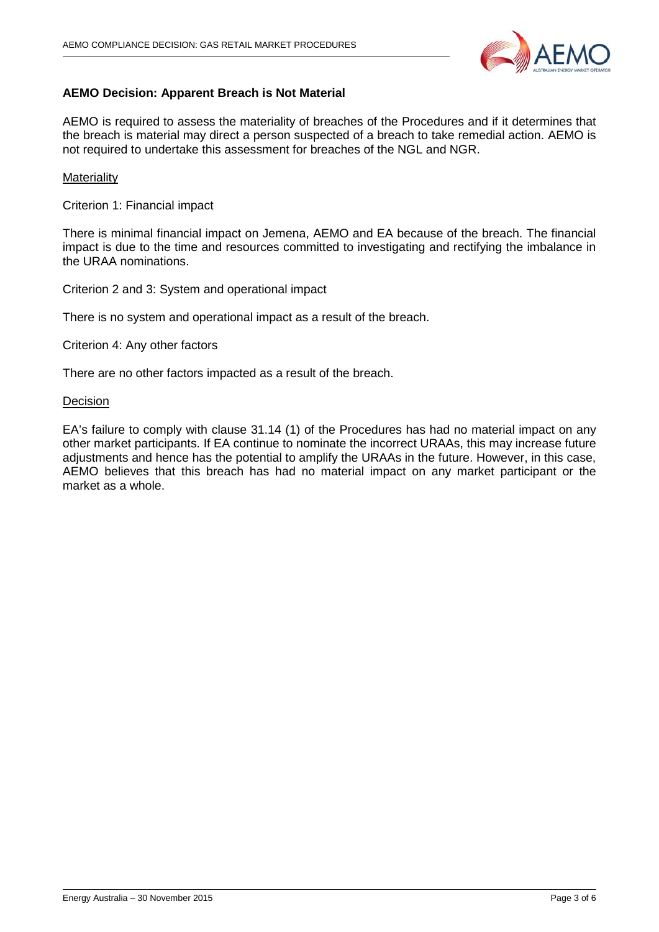

## **AEMO Decision: Apparent Breach is Not Material**

AEMO is required to assess the materiality of breaches of the Procedures and if it determines that the breach is material may direct a person suspected of a breach to take remedial action. AEMO is not required to undertake this assessment for breaches of the NGL and NGR.

#### **Materiality**

Criterion 1: Financial impact

There is minimal financial impact on Jemena, AEMO and EA because of the breach. The financial impact is due to the time and resources committed to investigating and rectifying the imbalance in the URAA nominations.

Criterion 2 and 3: System and operational impact

There is no system and operational impact as a result of the breach.

Criterion 4: Any other factors

There are no other factors impacted as a result of the breach.

#### **Decision**

EA's failure to comply with clause 31.14 (1) of the Procedures has had no material impact on any other market participants. If EA continue to nominate the incorrect URAAs, this may increase future adjustments and hence has the potential to amplify the URAAs in the future. However, in this case, AEMO believes that this breach has had no material impact on any market participant or the market as a whole.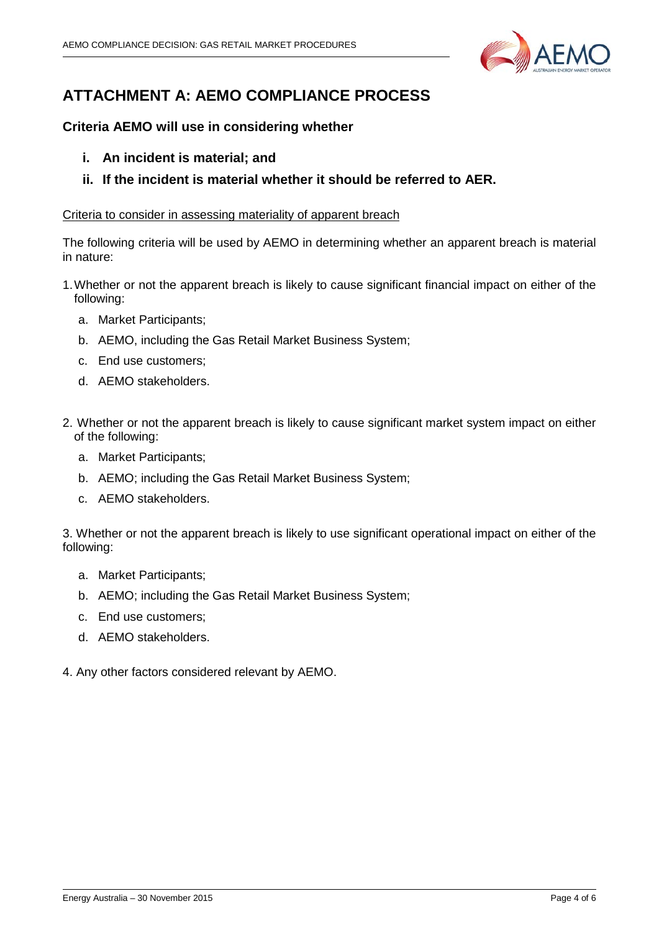

# **ATTACHMENT A: AEMO COMPLIANCE PROCESS**

# **Criteria AEMO will use in considering whether**

- **i. An incident is material; and**
- **ii. If the incident is material whether it should be referred to AER.**

## Criteria to consider in assessing materiality of apparent breach

The following criteria will be used by AEMO in determining whether an apparent breach is material in nature:

- 1.Whether or not the apparent breach is likely to cause significant financial impact on either of the following:
	- a. Market Participants;
	- b. AEMO, including the Gas Retail Market Business System;
	- c. End use customers;
	- d. AEMO stakeholders.
- 2. Whether or not the apparent breach is likely to cause significant market system impact on either of the following:
	- a. Market Participants;
	- b. AEMO; including the Gas Retail Market Business System;
	- c. AEMO stakeholders.

3. Whether or not the apparent breach is likely to use significant operational impact on either of the following:

- a. Market Participants;
- b. AEMO; including the Gas Retail Market Business System;
- c. End use customers;
- d. AEMO stakeholders.
- 4. Any other factors considered relevant by AEMO.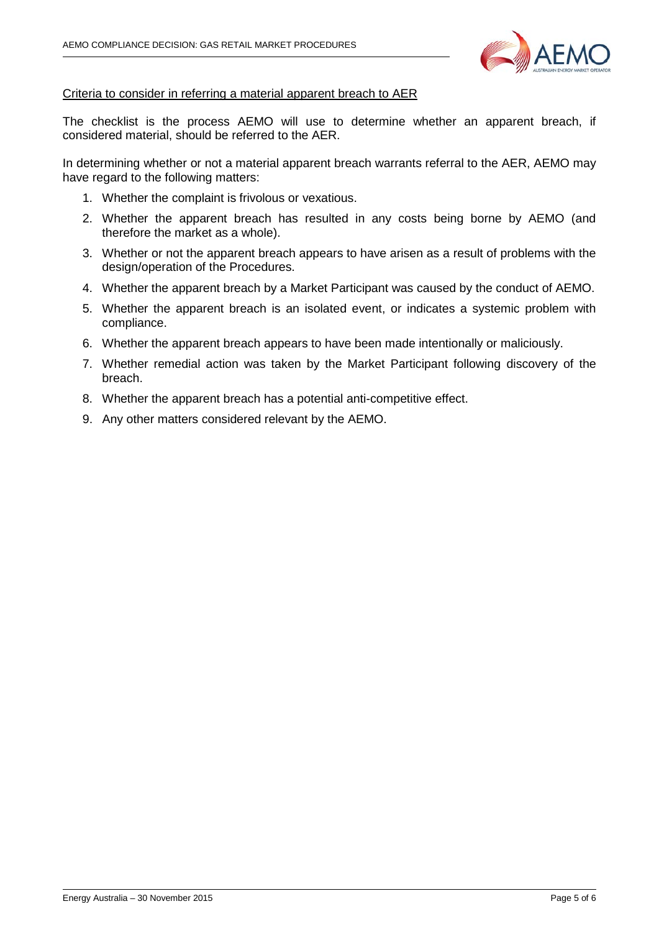

#### Criteria to consider in referring a material apparent breach to AER

The checklist is the process AEMO will use to determine whether an apparent breach, if considered material, should be referred to the AER.

In determining whether or not a material apparent breach warrants referral to the AER, AEMO may have regard to the following matters:

- 1. Whether the complaint is frivolous or vexatious.
- 2. Whether the apparent breach has resulted in any costs being borne by AEMO (and therefore the market as a whole).
- 3. Whether or not the apparent breach appears to have arisen as a result of problems with the design/operation of the Procedures.
- 4. Whether the apparent breach by a Market Participant was caused by the conduct of AEMO.
- 5. Whether the apparent breach is an isolated event, or indicates a systemic problem with compliance.
- 6. Whether the apparent breach appears to have been made intentionally or maliciously.
- 7. Whether remedial action was taken by the Market Participant following discovery of the breach.
- 8. Whether the apparent breach has a potential anti-competitive effect.
- 9. Any other matters considered relevant by the AEMO.